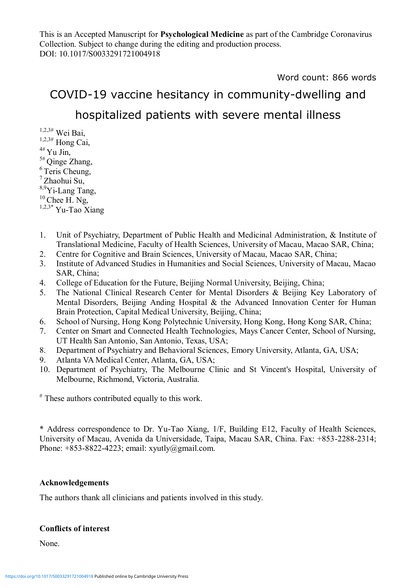This is an Accepted Manuscript for **Psychological Medicine** as part of the Cambridge Coronavirus Collection. Subject to change during the editing and production process. DOI: 10.1017/S0033291721004918

Word count: 866 words

# COVID-19 vaccine hesitancy in community-dwelling and

## hospitalized patients with severe mental illness

 $1,2,3#$  Wei Bai,  $1,2,3#$  Hong Cai,  $4#$  Yu Jin,  $5#$  Qinge Zhang,  $6$  Teris Cheung, <sup>7</sup>Zhaohui Su, 8,9Yi-Lang Tang,  $10$  Chee H. Ng,  $1,2,3*$  Yu-Tao Xiang

- 1. Unit of Psychiatry, Department of Public Health and Medicinal Administration, & Institute of Translational Medicine, Faculty of Health Sciences, University of Macau, Macao SAR, China;
- 2. Centre for Cognitive and Brain Sciences, University of Macau, Macao SAR, China;
- 3. Institute of Advanced Studies in Humanities and Social Sciences, University of Macau, Macao SAR, China;
- 4. College of Education for the Future, Beijing Normal University, Beijing, China;
- 5. The National Clinical Research Center for Mental Disorders & Beijing Key Laboratory of Mental Disorders, Beijing Anding Hospital & the Advanced Innovation Center for Human Brain Protection, Capital Medical University, Beijing, China;
- 6. School of Nursing, Hong Kong Polytechnic University, Hong Kong, Hong Kong SAR, China;
- 7. Center on Smart and Connected Health Technologies, Mays Cancer Center, School of Nursing, UT Health San Antonio, San Antonio, Texas, USA;
- 8. Department of Psychiatry and Behavioral Sciences, Emory University, Atlanta, GA, USA;
- 9. Atlanta VA Medical Center, Atlanta, GA, USA;
- 10. Department of Psychiatry, The Melbourne Clinic and St Vincent's Hospital, University of Melbourne, Richmond, Victoria, Australia.

# These authors contributed equally to this work.

\* Address correspondence to Dr. Yu-Tao Xiang, 1/F, Building E12, Faculty of Health Sciences, University of Macau, Avenida da Universidade, Taipa, Macau SAR, China. Fax: +853-2288-2314; Phone:  $+853-8822-4223$ ; email: xyutly@gmail.com.

#### **Acknowledgements**

The authors thank all clinicians and patients involved in this study.

#### **Conflicts of interest**

None.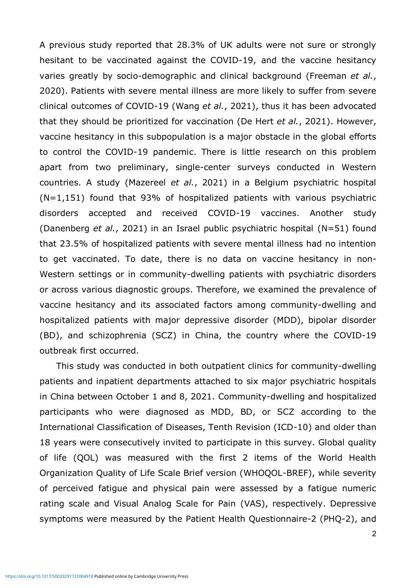A previous study reported that 28.3% of UK adults were not sure or strongly hesitant to be vaccinated against the COVID-19, and the vaccine hesitancy varies greatly by socio-demographic and clinical background (Freeman *et al.*, 2020). Patients with severe mental illness are more likely to suffer from severe clinical outcomes of COVID-19 (Wang *et al.*, 2021), thus it has been advocated that they should be prioritized for vaccination (De Hert *et al.*, 2021). However, vaccine hesitancy in this subpopulation is a major obstacle in the global efforts to control the COVID-19 pandemic. There is little research on this problem apart from two preliminary, single-center surveys conducted in Western countries. A study (Mazereel *et al.*, 2021) in a Belgium psychiatric hospital  $(N=1,151)$  found that 93% of hospitalized patients with various psychiatric disorders accepted and received COVID-19 vaccines. Another study (Danenberg *et al.*, 2021) in an Israel public psychiatric hospital (N=51) found that 23.5% of hospitalized patients with severe mental illness had no intention to get vaccinated. To date, there is no data on vaccine hesitancy in non-Western settings or in community-dwelling patients with psychiatric disorders or across various diagnostic groups. Therefore, we examined the prevalence of vaccine hesitancy and its associated factors among community-dwelling and hospitalized patients with major depressive disorder (MDD), bipolar disorder (BD), and schizophrenia (SCZ) in China, the country where the COVID-19 outbreak first occurred.

This study was conducted in both outpatient clinics for community-dwelling patients and inpatient departments attached to six major psychiatric hospitals in China between October 1 and 8, 2021. Community-dwelling and hospitalized participants who were diagnosed as MDD, BD, or SCZ according to the International Classification of Diseases, Tenth Revision (ICD-10) and older than 18 years were consecutively invited to participate in this survey. Global quality of life (QOL) was measured with the first 2 items of the World Health Organization Quality of Life Scale Brief version (WHOQOL-BREF), while severity of perceived fatigue and physical pain were assessed by a fatigue numeric rating scale and Visual Analog Scale for Pain (VAS), respectively. Depressive symptoms were measured by the Patient Health Questionnaire-2 (PHQ-2), and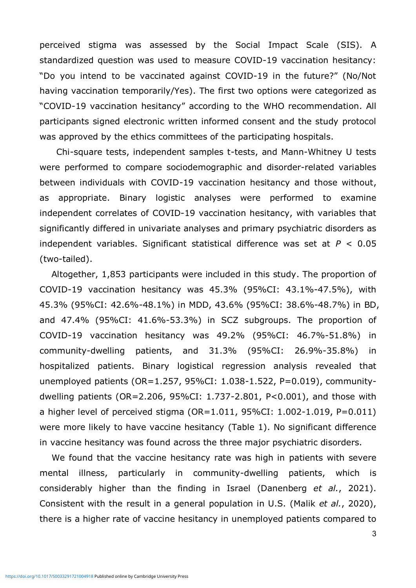perceived stigma was assessed by the Social Impact Scale (SIS). A standardized question was used to measure COVID-19 vaccination hesitancy: "Do you intend to be vaccinated against COVID-19 in the future?" (No/Not having vaccination temporarily/Yes). The first two options were categorized as "COVID-19 vaccination hesitancy" according to the WHO recommendation. All participants signed electronic written informed consent and the study protocol was approved by the ethics committees of the participating hospitals.

Chi-square tests, independent samples t-tests, and Mann-Whitney U tests were performed to compare sociodemographic and disorder-related variables between individuals with COVID-19 vaccination hesitancy and those without, as appropriate. Binary logistic analyses were performed to examine independent correlates of COVID-19 vaccination hesitancy, with variables that significantly differed in univariate analyses and primary psychiatric disorders as independent variables. Significant statistical difference was set at *P* < 0.05 (two-tailed).

 Altogether, 1,853 participants were included in this study. The proportion of COVID-19 vaccination hesitancy was 45.3% (95%CI: 43.1%-47.5%), with 45.3% (95%CI: 42.6%-48.1%) in MDD, 43.6% (95%CI: 38.6%-48.7%) in BD, and 47.4% (95%CI: 41.6%-53.3%) in SCZ subgroups. The proportion of COVID-19 vaccination hesitancy was 49.2% (95%CI: 46.7%-51.8%) in community-dwelling patients, and 31.3% (95%CI: 26.9%-35.8%) in hospitalized patients. Binary logistical regression analysis revealed that unemployed patients (OR=1.257, 95%CI: 1.038-1.522, P=0.019), communitydwelling patients (OR=2.206, 95%CI: 1.737-2.801, P<0.001), and those with a higher level of perceived stigma ( $OR=1.011$ ,  $95\%CI: 1.002-1.019$ ,  $P=0.011$ ) were more likely to have vaccine hesitancy (Table 1). No significant difference in vaccine hesitancy was found across the three major psychiatric disorders.

We found that the vaccine hesitancy rate was high in patients with severe mental illness, particularly in community-dwelling patients, which is considerably higher than the finding in Israel (Danenberg *et al.*, 2021). Consistent with the result in a general population in U.S. (Malik *et al.*, 2020), there is a higher rate of vaccine hesitancy in unemployed patients compared to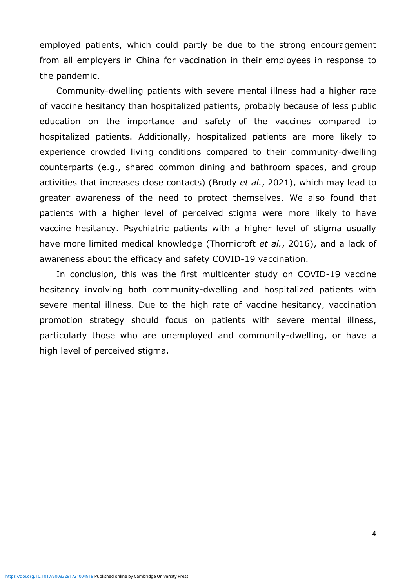employed patients, which could partly be due to the strong encouragement from all employers in China for vaccination in their employees in response to the pandemic.

Community-dwelling patients with severe mental illness had a higher rate of vaccine hesitancy than hospitalized patients, probably because of less public education on the importance and safety of the vaccines compared to hospitalized patients. Additionally, hospitalized patients are more likely to experience crowded living conditions compared to their community-dwelling counterparts (e.g., shared common dining and bathroom spaces, and group activities that increases close contacts) (Brody *et al.*, 2021), which may lead to greater awareness of the need to protect themselves. We also found that patients with a higher level of perceived stigma were more likely to have vaccine hesitancy. Psychiatric patients with a higher level of stigma usually have more limited medical knowledge (Thornicroft *et al.*, 2016), and a lack of awareness about the efficacy and safety COVID-19 vaccination.

In conclusion, this was the first multicenter study on COVID-19 vaccine hesitancy involving both community-dwelling and hospitalized patients with severe mental illness. Due to the high rate of vaccine hesitancy, vaccination promotion strategy should focus on patients with severe mental illness, particularly those who are unemployed and community-dwelling, or have a high level of perceived stigma.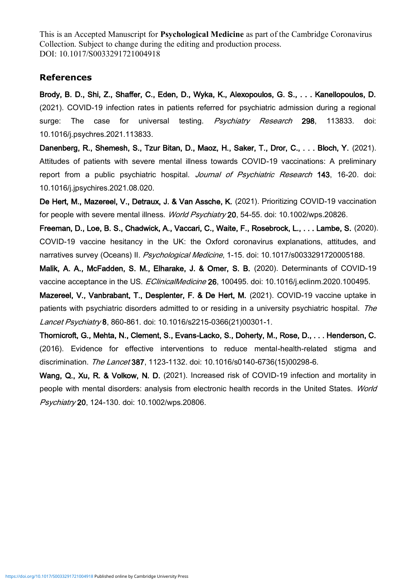This is an Accepted Manuscript for **Psychological Medicine** as part of the Cambridge Coronavirus Collection. Subject to change during the editing and production process. DOI: 10.1017/S0033291721004918

### **References**

Brody, B. D., Shi, Z., Shaffer, C., Eden, D., Wyka, K., Alexopoulos, G. S., . . . Kanellopoulos, D. (2021). COVID-19 infection rates in patients referred for psychiatric admission during a regional surge: The case for universal testing. Psychiatry Research 298, 113833. doi: 10.1016/j.psychres.2021.113833.

Danenberg, R., Shemesh, S., Tzur Bitan, D., Maoz, H., Saker, T., Dror, C., . . . Bloch, Y. (2021). Attitudes of patients with severe mental illness towards COVID-19 vaccinations: A preliminary report from a public psychiatric hospital. *Journal of Psychiatric Research* 143, 16-20. doi: 10.1016/j.jpsychires.2021.08.020.

De Hert, M., Mazereel, V., Detraux, J. & Van Assche, K. (2021). Prioritizing COVID-19 vaccination for people with severe mental illness. World Psychiatry 20, 54-55. doi: 10.1002/wps.20826.

Freeman, D., Loe, B. S., Chadwick, A., Vaccari, C., Waite, F., Rosebrock, L., . . . Lambe, S. (2020). COVID-19 vaccine hesitancy in the UK: the Oxford coronavirus explanations, attitudes, and narratives survey (Oceans) II. Psychological Medicine, 1-15. doi: 10.1017/s0033291720005188.

Malik, A. A., McFadden, S. M., Elharake, J. & Omer, S. B. (2020). Determinants of COVID-19 vaccine acceptance in the US. EClinicalMedicine 26, 100495. doi: 10.1016/j.eclinm.2020.100495.

Mazereel, V., Vanbrabant, T., Desplenter, F. & De Hert, M. (2021). COVID-19 vaccine uptake in patients with psychiatric disorders admitted to or residing in a university psychiatric hospital. The Lancet Psychiatry 8, 860-861. doi: 10.1016/s2215-0366(21)00301-1.

Thornicroft, G., Mehta, N., Clement, S., Evans-Lacko, S., Doherty, M., Rose, D., . . . Henderson, C. (2016). Evidence for effective interventions to reduce mental-health-related stigma and discrimination. The Lancet 387, 1123-1132. doi: 10.1016/s0140-6736(15)00298-6.

Wang, Q., Xu, R. & Volkow, N. D. (2021). Increased risk of COVID-19 infection and mortality in people with mental disorders: analysis from electronic health records in the United States. World Psychiatry 20, 124-130. doi: 10.1002/wps.20806.